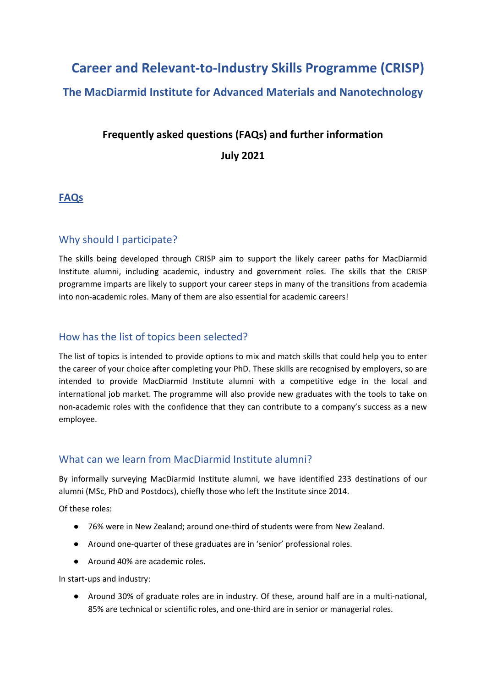# **Career and Relevant-to-Industry Skills Programme (CRISP) The MacDiarmid Institute for Advanced Materials and Nanotechnology**

## **Frequently asked questions (FAQs) and further information July 2021**

## **FAQs**

## Why should I participate?

The skills being developed through CRISP aim to support the likely career paths for MacDiarmid Institute alumni, including academic, industry and government roles. The skills that the CRISP programme imparts are likely to support your career steps in many of the transitions from academia into non-academic roles. Many of them are also essential for academic careers!

## How has the list of topics been selected?

The list of topics is intended to provide options to mix and match skills that could help you to enter the career of your choice after completing your PhD. These skills are recognised by employers, so are intended to provide MacDiarmid Institute alumni with a competitive edge in the local and international job market. The programme will also provide new graduates with the tools to take on non-academic roles with the confidence that they can contribute to a company's success as a new employee.

## What can we learn from MacDiarmid Institute alumni?

By informally surveying MacDiarmid Institute alumni, we have identified 233 destinations of our alumni (MSc, PhD and Postdocs), chiefly those who left the Institute since 2014.

Of these roles:

- 76% were in New Zealand; around one-third of students were from New Zealand.
- Around one-quarter of these graduates are in 'senior' professional roles.
- Around 40% are academic roles.

In start-ups and industry:

● Around 30% of graduate roles are in industry. Of these, around half are in a multi-national, 85% are technical or scientific roles, and one-third are in senior or managerial roles.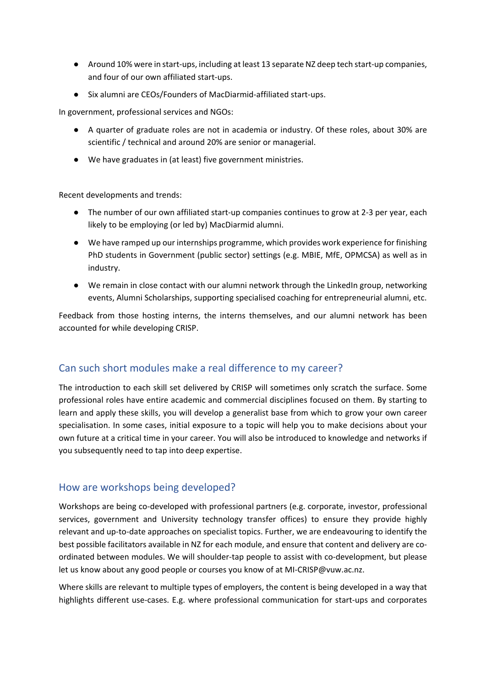- Around 10% were in start-ups, including at least 13 separate NZ deep tech start-up companies, and four of our own affiliated start-ups.
- Six alumni are CEOs/Founders of MacDiarmid-affiliated start-ups.

In government, professional services and NGOs:

- A quarter of graduate roles are not in academia or industry. Of these roles, about 30% are scientific / technical and around 20% are senior or managerial.
- We have graduates in (at least) five government ministries.

Recent developments and trends:

- The number of our own affiliated start-up companies continues to grow at 2-3 per year, each likely to be employing (or led by) MacDiarmid alumni.
- We have ramped up our internships programme, which provides work experience for finishing PhD students in Government (public sector) settings (e.g. MBIE, MfE, OPMCSA) as well as in industry.
- We remain in close contact with our alumni network through the LinkedIn group, networking events, Alumni Scholarships, supporting specialised coaching for entrepreneurial alumni, etc.

Feedback from those hosting interns, the interns themselves, and our alumni network has been accounted for while developing CRISP.

## Can such short modules make a real difference to my career?

The introduction to each skill set delivered by CRISP will sometimes only scratch the surface. Some professional roles have entire academic and commercial disciplines focused on them. By starting to learn and apply these skills, you will develop a generalist base from which to grow your own career specialisation. In some cases, initial exposure to a topic will help you to make decisions about your own future at a critical time in your career. You will also be introduced to knowledge and networks if you subsequently need to tap into deep expertise.

## How are workshops being developed?

Workshops are being co-developed with professional partners (e.g. corporate, investor, professional services, government and University technology transfer offices) to ensure they provide highly relevant and up-to-date approaches on specialist topics. Further, we are endeavouring to identify the best possible facilitators available in NZ for each module, and ensure that content and delivery are coordinated between modules. We will shoulder-tap people to assist with co-development, but please let us know about any good people or courses you know of at MI-CRISP@vuw.ac.nz.

Where skills are relevant to multiple types of employers, the content is being developed in a way that highlights different use-cases. E.g. where professional communication for start-ups and corporates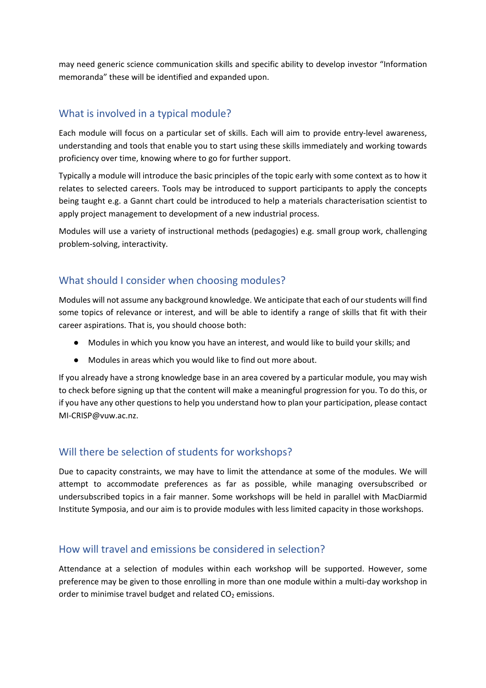may need generic science communication skills and specific ability to develop investor "Information memoranda" these will be identified and expanded upon.

## What is involved in a typical module?

Each module will focus on a particular set of skills. Each will aim to provide entry-level awareness, understanding and tools that enable you to start using these skills immediately and working towards proficiency over time, knowing where to go for further support.

Typically a module will introduce the basic principles of the topic early with some context as to how it relates to selected careers. Tools may be introduced to support participants to apply the concepts being taught e.g. a Gannt chart could be introduced to help a materials characterisation scientist to apply project management to development of a new industrial process.

Modules will use a variety of instructional methods (pedagogies) e.g. small group work, challenging problem-solving, interactivity.

## What should I consider when choosing modules?

Modules will not assume any background knowledge. We anticipate that each of our students will find some topics of relevance or interest, and will be able to identify a range of skills that fit with their career aspirations. That is, you should choose both:

- Modules in which you know you have an interest, and would like to build your skills; and
- Modules in areas which you would like to find out more about.

If you already have a strong knowledge base in an area covered by a particular module, you may wish to check before signing up that the content will make a meaningful progression for you. To do this, or if you have any other questions to help you understand how to plan your participation, please contact MI-CRISP@vuw.ac.nz.

## Will there be selection of students for workshops?

Due to capacity constraints, we may have to limit the attendance at some of the modules. We will attempt to accommodate preferences as far as possible, while managing oversubscribed or undersubscribed topics in a fair manner. Some workshops will be held in parallel with MacDiarmid Institute Symposia, and our aim is to provide modules with less limited capacity in those workshops.

## How will travel and emissions be considered in selection?

Attendance at a selection of modules within each workshop will be supported. However, some preference may be given to those enrolling in more than one module within a multi-day workshop in order to minimise travel budget and related  $CO<sub>2</sub>$  emissions.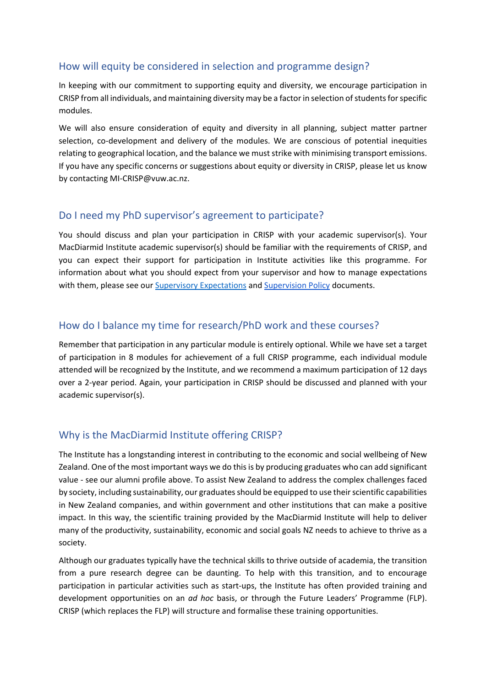## How will equity be considered in selection and programme design?

In keeping with our commitment to supporting equity and diversity, we encourage participation in CRISP from all individuals, and maintaining diversity may be a factor in selection of students for specific modules.

We will also ensure consideration of equity and diversity in all planning, subject matter partner selection, co-development and delivery of the modules. We are conscious of potential inequities relating to geographical location, and the balance we must strike with minimising transport emissions. If you have any specific concerns or suggestions about equity or diversity in CRISP, please let us know by contacting MI-CRISP@vuw.ac.nz.

## Do I need my PhD supervisor's agreement to participate?

You should discuss and plan your participation in CRISP with your academic supervisor(s). Your MacDiarmid Institute academic supervisor(s) should be familiar with the requirements of CRISP, and you can expect their support for participation in Institute activities like this programme. For information about what you should expect from your supervisor and how to manage expectations with them, please see our [Supervisory Expectations](https://www.macdiarmid.ac.nz/assets/Publications/f360875155/MacDiarmid-Institute-Supervision-Expectations-v2.pdf) and [Supervision Policy](https://www.macdiarmid.ac.nz/assets/Publications/e540fdaf20/MacDiarmid-Institute-Supervision-Policy-v2.pdf) documents.

## How do I balance my time for research/PhD work and these courses?

Remember that participation in any particular module is entirely optional. While we have set a target of participation in 8 modules for achievement of a full CRISP programme, each individual module attended will be recognized by the Institute, and we recommend a maximum participation of 12 days over a 2-year period. Again, your participation in CRISP should be discussed and planned with your academic supervisor(s).

## Why is the MacDiarmid Institute offering CRISP?

The Institute has a longstanding interest in contributing to the economic and social wellbeing of New Zealand. One of the most important ways we do this is by producing graduates who can add significant value - see our alumni profile above. To assist New Zealand to address the complex challenges faced by society, including sustainability, our graduates should be equipped to use their scientific capabilities in New Zealand companies, and within government and other institutions that can make a positive impact. In this way, the scientific training provided by the MacDiarmid Institute will help to deliver many of the productivity, sustainability, economic and social goals NZ needs to achieve to thrive as a society.

Although our graduates typically have the technical skills to thrive outside of academia, the transition from a pure research degree can be daunting. To help with this transition, and to encourage participation in particular activities such as start-ups, the Institute has often provided training and development opportunities on an *ad hoc* basis, or through the Future Leaders' Programme (FLP). CRISP (which replaces the FLP) will structure and formalise these training opportunities.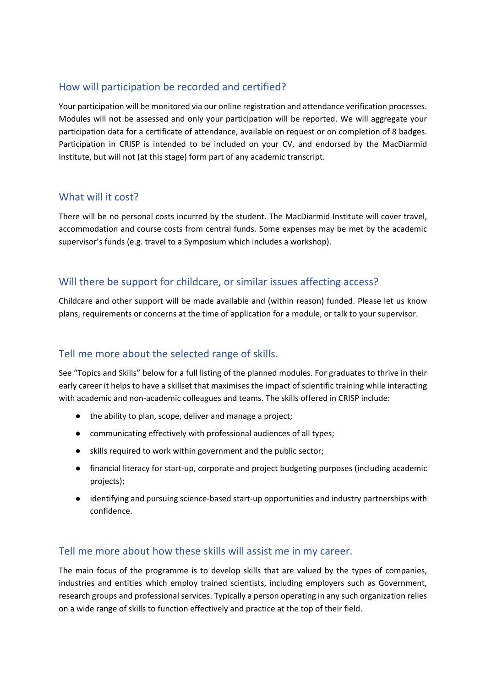## How will participation be recorded and certified?

Your participation will be monitored via our online registration and attendance verification processes. Modules will not be assessed and only your participation will be reported. We will aggregate your participation data for a certificate of attendance, available on request or on completion of 8 badges. Participation in CRISP is intended to be included on your CV, and endorsed by the MacDiarmid Institute, but will not (at this stage) form part of any academic transcript.

## What will it cost?

There will be no personal costs incurred by the student. The MacDiarmid Institute will cover travel, accommodation and course costs from central funds. Some expenses may be met by the academic supervisor's funds (e.g. travel to a Symposium which includes a workshop).

## Will there be support for childcare, or similar issues affecting access?

Childcare and other support will be made available and (within reason) funded. Please let us know plans, requirements or concerns at the time of application for a module, or talk to your supervisor.

## Tell me more about the selected range of skills.

See "Topics and Skills" below for a full listing of the planned modules. For graduates to thrive in their early career it helps to have a skillset that maximises the impact of scientific training while interacting with academic and non-academic colleagues and teams. The skills offered in CRISP include:

- the ability to plan, scope, deliver and manage a project;
- communicating effectively with professional audiences of all types;
- skills required to work within government and the public sector;
- financial literacy for start-up, corporate and project budgeting purposes (including academic projects);
- identifying and pursuing science-based start-up opportunities and industry partnerships with confidence.

## Tell me more about how these skills will assist me in my career.

The main focus of the programme is to develop skills that are valued by the types of companies, industries and entities which employ trained scientists, including employers such as Government, research groups and professional services. Typically a person operating in any such organization relies on a wide range of skills to function effectively and practice at the top of their field.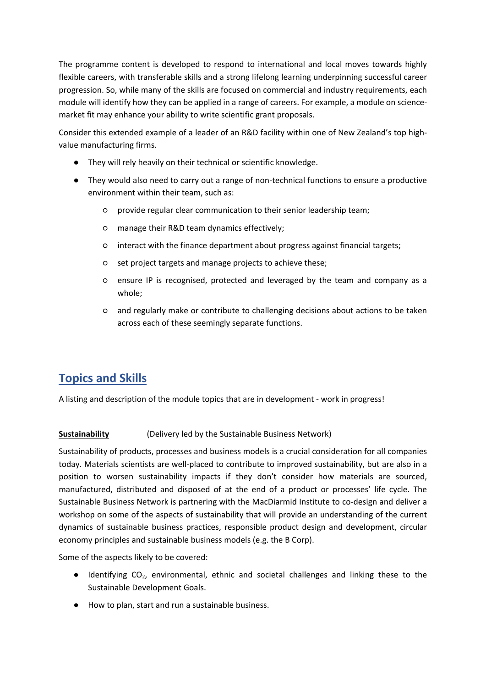The programme content is developed to respond to international and local moves towards highly flexible careers, with transferable skills and a strong lifelong learning underpinning successful career progression. So, while many of the skills are focused on commercial and industry requirements, each module will identify how they can be applied in a range of careers. For example, a module on sciencemarket fit may enhance your ability to write scientific grant proposals.

Consider this extended example of a leader of an R&D facility within one of New Zealand's top highvalue manufacturing firms.

- They will rely heavily on their technical or scientific knowledge.
- They would also need to carry out a range of non-technical functions to ensure a productive environment within their team, such as:
	- provide regular clear communication to their senior leadership team;
	- manage their R&D team dynamics effectively;
	- interact with the finance department about progress against financial targets;
	- set project targets and manage projects to achieve these;
	- ensure IP is recognised, protected and leveraged by the team and company as a whole;
	- and regularly make or contribute to challenging decisions about actions to be taken across each of these seemingly separate functions.

## **Topics and Skills**

A listing and description of the module topics that are in development - work in progress!

## **Sustainability** (Delivery led by the Sustainable Business Network)

Sustainability of products, processes and business models is a crucial consideration for all companies today. Materials scientists are well-placed to contribute to improved sustainability, but are also in a position to worsen sustainability impacts if they don't consider how materials are sourced, manufactured, distributed and disposed of at the end of a product or processes' life cycle. The Sustainable Business Network is partnering with the MacDiarmid Institute to co-design and deliver a workshop on some of the aspects of sustainability that will provide an understanding of the current dynamics of sustainable business practices, responsible product design and development, circular economy principles and sustainable business models (e.g. the B Corp).

Some of the aspects likely to be covered:

- Identifying CO2, environmental, ethnic and societal challenges and linking these to the Sustainable Development Goals.
- How to plan, start and run a sustainable business.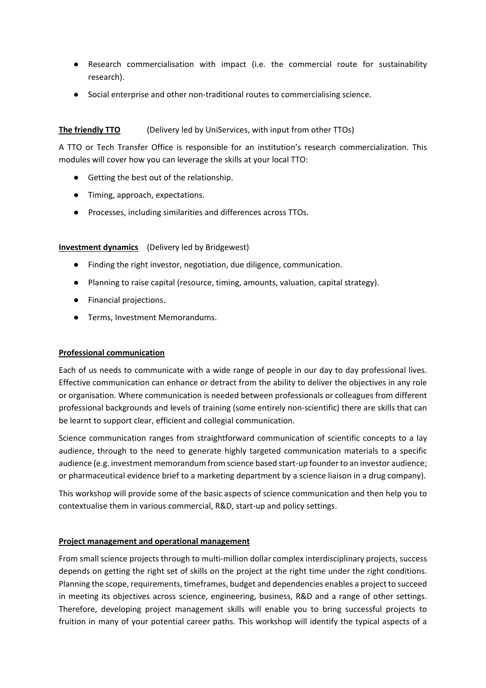- Research commercialisation with impact (i.e. the commercial route for sustainability research).
- Social enterprise and other non-traditional routes to commercialising science.

### **The friendly TTO** (Delivery led by UniServices, with input from other TTOs)

A TTO or Tech Transfer Office is responsible for an institution's research commercialization. This modules will cover how you can leverage the skills at your local TTO:

- Getting the best out of the relationship.
- Timing, approach, expectations.
- Processes, including similarities and differences across TTOs.

### **Investment dynamics** (Delivery led by Bridgewest)

- Finding the right investor, negotiation, due diligence, communication.
- Planning to raise capital (resource, timing, amounts, valuation, capital strategy).
- Financial projections.
- Terms, Investment Memorandums.

### **Professional communication**

Each of us needs to communicate with a wide range of people in our day to day professional lives. Effective communication can enhance or detract from the ability to deliver the objectives in any role or organisation. Where communication is needed between professionals or colleagues from different professional backgrounds and levels of training (some entirely non-scientific) there are skills that can be learnt to support clear, efficient and collegial communication.

Science communication ranges from straightforward communication of scientific concepts to a lay audience, through to the need to generate highly targeted communication materials to a specific audience (e.g. investment memorandum from science based start-up founder to an investor audience; or pharmaceutical evidence brief to a marketing department by a science liaison in a drug company).

This workshop will provide some of the basic aspects of science communication and then help you to contextualise them in various commercial, R&D, start-up and policy settings.

### **Project management and operational management**

From small science projects through to multi-million dollar complex interdisciplinary projects, success depends on getting the right set of skills on the project at the right time under the right conditions. Planning the scope, requirements, timeframes, budget and dependencies enables a project to succeed in meeting its objectives across science, engineering, business, R&D and a range of other settings. Therefore, developing project management skills will enable you to bring successful projects to fruition in many of your potential career paths. This workshop will identify the typical aspects of a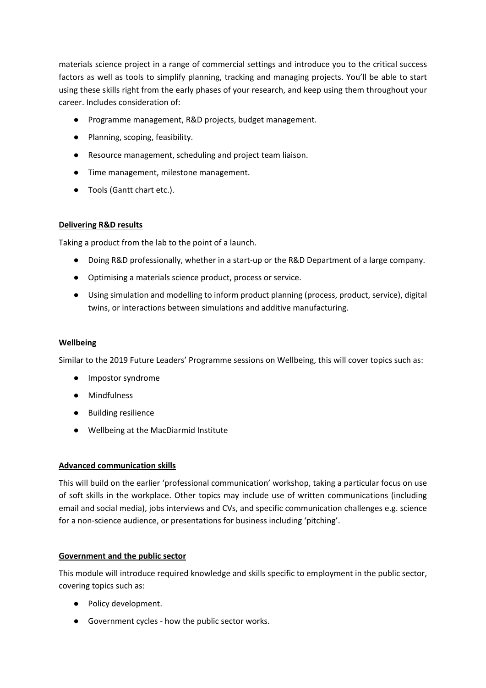materials science project in a range of commercial settings and introduce you to the critical success factors as well as tools to simplify planning, tracking and managing projects. You'll be able to start using these skills right from the early phases of your research, and keep using them throughout your career. Includes consideration of:

- Programme management, R&D projects, budget management.
- Planning, scoping, feasibility.
- Resource management, scheduling and project team liaison.
- Time management, milestone management.
- Tools (Gantt chart etc.).

### **Delivering R&D results**

Taking a product from the lab to the point of a launch.

- Doing R&D professionally, whether in a start-up or the R&D Department of a large company.
- Optimising a materials science product, process or service.
- Using simulation and modelling to inform product planning (process, product, service), digital twins, or interactions between simulations and additive manufacturing.

### **Wellbeing**

Similar to the 2019 Future Leaders' Programme sessions on Wellbeing, this will cover topics such as:

- Impostor syndrome
- Mindfulness
- Building resilience
- Wellbeing at the MacDiarmid Institute

### **Advanced communication skills**

This will build on the earlier 'professional communication' workshop, taking a particular focus on use of soft skills in the workplace. Other topics may include use of written communications (including email and social media), jobs interviews and CVs, and specific communication challenges e.g. science for a non-science audience, or presentations for business including 'pitching'.

### **Government and the public sector**

This module will introduce required knowledge and skills specific to employment in the public sector, covering topics such as:

- Policy development.
- Government cycles how the public sector works.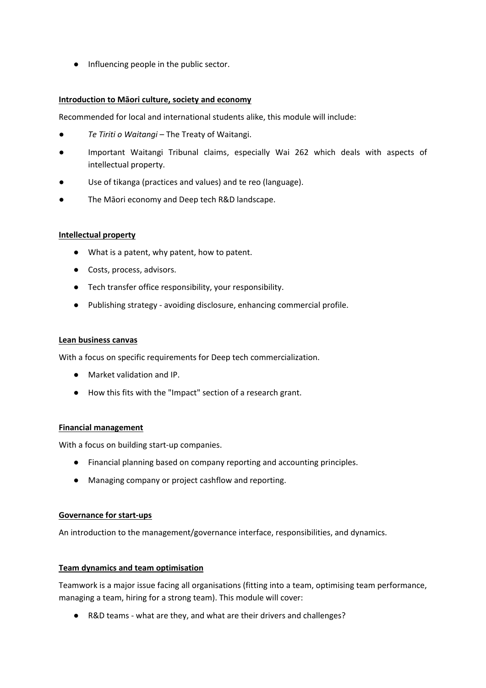● Influencing people in the public sector.

### **Introduction to Māori culture, society and economy**

Recommended for local and international students alike, this module will include:

- *Te Tiriti o Waitangi* The Treaty of Waitangi.
- Important Waitangi Tribunal claims, especially Wai 262 which deals with aspects of intellectual property.
- Use of tikanga (practices and values) and te reo (language).
- The Māori economy and Deep tech R&D landscape.

### **Intellectual property**

- What is a patent, why patent, how to patent.
- Costs, process, advisors.
- Tech transfer office responsibility, your responsibility.
- Publishing strategy avoiding disclosure, enhancing commercial profile.

#### **Lean business canvas**

With a focus on specific requirements for Deep tech commercialization.

- Market validation and IP.
- How this fits with the "Impact" section of a research grant.

### **Financial management**

With a focus on building start-up companies.

- Financial planning based on company reporting and accounting principles.
- Managing company or project cashflow and reporting.

### **Governance for start-ups**

An introduction to the management/governance interface, responsibilities, and dynamics.

### **Team dynamics and team optimisation**

Teamwork is a major issue facing all organisations (fitting into a team, optimising team performance, managing a team, hiring for a strong team). This module will cover:

● R&D teams - what are they, and what are their drivers and challenges?